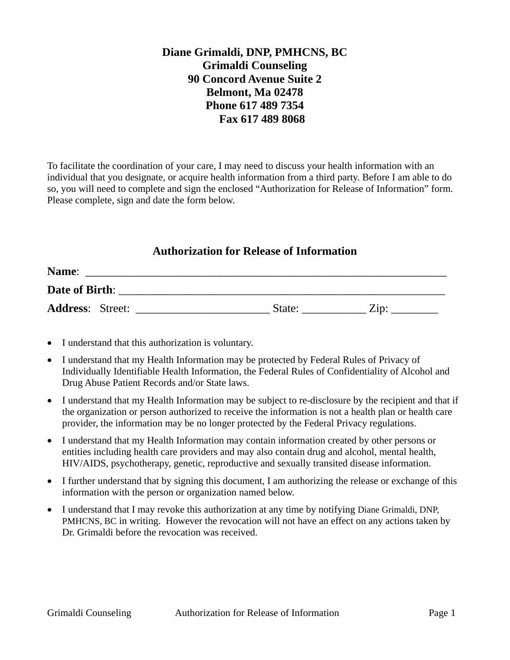## **Diane Grimaldi, DNP, PMHCNS, BC Grimaldi Counseling 90 Concord Avenue Suite 2 Belmont, Ma 02478 Phone 617 489 7354 Fax 617 489 8068**

To facilitate the coordination of your care, I may need to discuss your health information with an individual that you designate, or acquire health information from a third party. Before I am able to do so, you will need to complete and sign the enclosed "Authorization for Release of Information" form. Please complete, sign and date the form below.

## **Authorization for Release of Information**

| Name:                   |  |        |                 |  |  |  |  |
|-------------------------|--|--------|-----------------|--|--|--|--|
| Date of Birth:          |  |        |                 |  |  |  |  |
| <b>Address: Street:</b> |  | State: | $\mathrm{Zip}:$ |  |  |  |  |

- I understand that this authorization is voluntary.
- I understand that my Health Information may be protected by Federal Rules of Privacy of Individually Identifiable Health Information, the Federal Rules of Confidentiality of Alcohol and Drug Abuse Patient Records and/or State laws.
- I understand that my Health Information may be subject to re-disclosure by the recipient and that if the organization or person authorized to receive the information is not a health plan or health care provider, the information may be no longer protected by the Federal Privacy regulations.
- I understand that my Health Information may contain information created by other persons or entities including health care providers and may also contain drug and alcohol, mental health, HIV/AIDS, psychotherapy, genetic, reproductive and sexually transited disease information.
- I further understand that by signing this document, I am authorizing the release or exchange of this information with the person or organization named below.
- I understand that I may revoke this authorization at any time by notifying Diane Grimaldi, DNP, PMHCNS, BC in writing. However the revocation will not have an effect on any actions taken by Dr. Grimaldi before the revocation was received.